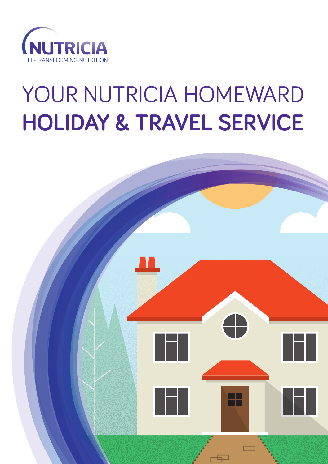

# YOUR NUTRICIA HOMEWARD **HOLIDAY & TRAVEL SERVICE**

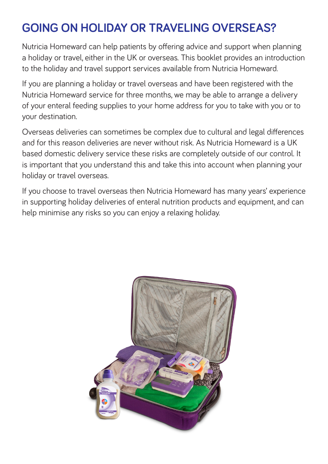## **GOING ON HOLIDAY OR TRAVELING OVERSEAS?**

Nutricia Homeward can help patients by offering advice and support when planning a holiday or travel, either in the UK or overseas. This booklet provides an introduction to the holiday and travel support services available from Nutricia Homeward.

If you are planning a holiday or travel overseas and have been registered with the Nutricia Homeward service for three months, we may be able to arrange a delivery of your enteral feeding supplies to your home address for you to take with you or to your destination.

Overseas deliveries can sometimes be complex due to cultural and legal differences and for this reason deliveries are never without risk. As Nutricia Homeward is a UK based domestic delivery service these risks are completely outside of our control. It is important that you understand this and take this into account when planning your holiday or travel overseas.

If you choose to travel overseas then Nutricia Homeward has many years' experience in supporting holiday deliveries of enteral nutrition products and equipment, and can help minimise any risks so you can enjoy a relaxing holiday.

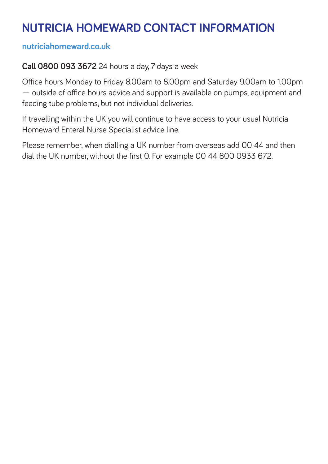# **NUTRICIA HOMEWARD CONTACT INFORMATION**

## **nutriciahomeward.co.uk**

## **Call 0800 093 3672** 24 hours a day, 7 days a week

Office hours Monday to Friday 8.00am to 8.00pm and Saturday 9.00am to 1.00pm — outside of office hours advice and support is available on pumps, equipment and feeding tube problems, but not individual deliveries.

If travelling within the UK you will continue to have access to your usual Nutricia Homeward Enteral Nurse Specialist advice line.

Please remember, when dialling a UK number from overseas add 00 44 and then dial the UK number, without the first 0. For example 00 44 800 0933 672.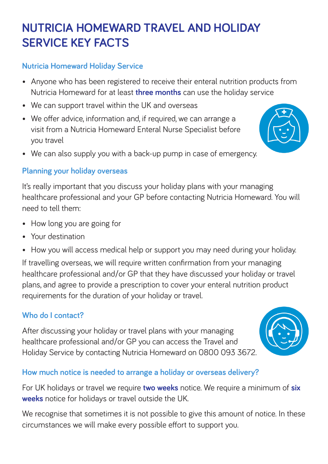# **NUTRICIA HOMEWARD TRAVEL AND HOLIDAY SERVICE KEY FACTS**

### **Nutricia Homeward Holiday Service**

- Anyone who has been registered to receive their enteral nutrition products from Nutricia Homeward for at least **three months** can use the holiday service
- We can support travel within the UK and overseas
- We offer advice, information and, if required, we can arrange a visit from a Nutricia Homeward Enteral Nurse Specialist before you travel



• We can also supply you with a back-up pump in case of emergency.

## **Planning your holiday overseas**

It's really important that you discuss your holiday plans with your managing healthcare professional and your GP before contacting Nutricia Homeward. You will need to tell them:

- How long you are going for
- Your destination
- How you will access medical help or support you may need during your holiday.

If travelling overseas, we will require written confirmation from your managing healthcare professional and/or GP that they have discussed your holiday or travel plans, and agree to provide a prescription to cover your enteral nutrition product requirements for the duration of your holiday or travel.

## **Who do I contact?**

After discussing your holiday or travel plans with your managing healthcare professional and/or GP you can access the Travel and Holiday Service by contacting Nutricia Homeward on 0800 093 3672.



## **How much notice is needed to arrange a holiday or overseas delivery?**

For UK holidays or travel we require **two weeks** notice. We require a minimum of **six weeks** notice for holidays or travel outside the UK.

We recognise that sometimes it is not possible to give this amount of notice. In these circumstances we will make every possible effort to support you.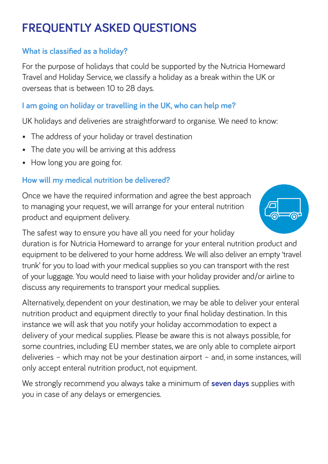# **FREQUENTLY ASKED QUESTIONS**

## **What is classified as a holiday?**

For the purpose of holidays that could be supported by the Nutricia Homeward Travel and Holiday Service, we classify a holiday as a break within the UK or overseas that is between 10 to 28 days.

## **I am going on holiday or travelling in the UK, who can help me?**

UK holidays and deliveries are straightforward to organise. We need to know:

- The address of your holiday or travel destination
- The date you will be arriving at this address
- How long you are going for.

## **How will my medical nutrition be delivered?**

Once we have the required information and agree the best approach to managing your request, we will arrange for your enteral nutrition product and equipment delivery.



The safest way to ensure you have all you need for your holiday duration is for Nutricia Homeward to arrange for your enteral nutrition product and equipment to be delivered to your home address. We will also deliver an empty 'travel trunk' for you to load with your medical supplies so you can transport with the rest of your luggage. You would need to liaise with your holiday provider and/or airline to discuss any requirements to transport your medical supplies.

Alternatively, dependent on your destination, we may be able to deliver your enteral nutrition product and equipment directly to your final holiday destination. In this instance we will ask that you notify your holiday accommodation to expect a delivery of your medical supplies. Please be aware this is not always possible, for some countries, including EU member states, we are only able to complete airport deliveries – which may not be your destination airport – and, in some instances, will only accept enteral nutrition product, not equipment.

We strongly recommend you always take a minimum of **seven days** supplies with you in case of any delays or emergencies.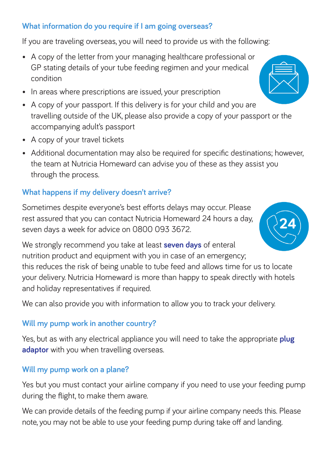## **What information do you require if I am going overseas?**

If you are traveling overseas, you will need to provide us with the following:

- A copy of the letter from your managing healthcare professional or GP stating details of your tube feeding regimen and your medical condition
- In areas where prescriptions are issued, your prescription
- A copy of your passport. If this delivery is for your child and you are travelling outside of the UK, please also provide a copy of your passport or the accompanying adult's passport
- A copy of your travel tickets
- Additional documentation may also be required for specific destinations; however, the team at Nutricia Homeward can advise you of these as they assist you through the process.

## **What happens if my delivery doesn't arrive?**

Sometimes despite everyone's best efforts delays may occur. Please rest assured that you can contact Nutricia Homeward 24 hours a day, seven days a week for advice on 0800 093 3672.

We strongly recommend you take at least **seven days** of enteral nutrition product and equipment with you in case of an emergency; this reduces the risk of being unable to tube feed and allows time for us to locate your delivery. Nutricia Homeward is more than happy to speak directly with hotels and holiday representatives if required.

We can also provide you with information to allow you to track your delivery.

## **Will my pump work in another country?**

Yes, but as with any electrical appliance you will need to take the appropriate **plug adaptor** with you when travelling overseas.

## **Will my pump work on a plane?**

Yes but you must contact your airline company if you need to use your feeding pump during the flight, to make them aware.

We can provide details of the feeding pump if your airline company needs this. Please note, you may not be able to use your feeding pump during take off and landing.



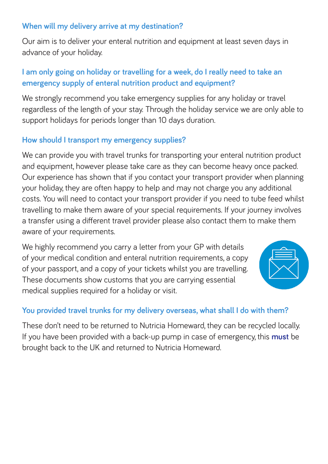#### **When will my delivery arrive at my destination?**

Our aim is to deliver your enteral nutrition and equipment at least seven days in advance of your holiday.

## **I am only going on holiday or travelling for a week, do I really need to take an emergency supply of enteral nutrition product and equipment?**

We strongly recommend you take emergency supplies for any holiday or travel regardless of the length of your stay. Through the holiday service we are only able to support holidays for periods longer than 10 days duration.

## **How should I transport my emergency supplies?**

We can provide you with travel trunks for transporting your enteral nutrition product and equipment, however please take care as they can become heavy once packed. Our experience has shown that if you contact your transport provider when planning your holiday, they are often happy to help and may not charge you any additional costs. You will need to contact your transport provider if you need to tube feed whilst travelling to make them aware of your special requirements. If your journey involves a transfer using a different travel provider please also contact them to make them aware of your requirements.

We highly recommend you carry a letter from your GP with details of your medical condition and enteral nutrition requirements, a copy of your passport, and a copy of your tickets whilst you are travelling. These documents show customs that you are carrying essential medical supplies required for a holiday or visit.



## **You provided travel trunks for my delivery overseas, what shall I do with them?**

These don't need to be returned to Nutricia Homeward, they can be recycled locally. If you have been provided with a back-up pump in case of emergency, this **must** be brought back to the UK and returned to Nutricia Homeward.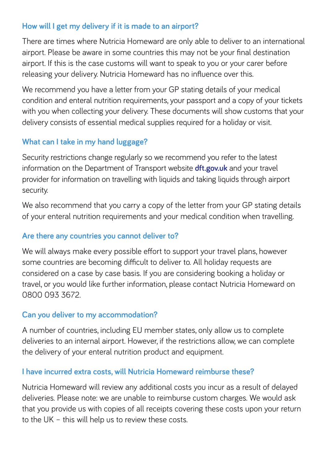### **How will I get my delivery if it is made to an airport?**

There are times where Nutricia Homeward are only able to deliver to an international airport. Please be aware in some countries this may not be your final destination airport. If this is the case customs will want to speak to you or your carer before releasing your delivery. Nutricia Homeward has no influence over this.

We recommend you have a letter from your GP stating details of your medical condition and enteral nutrition requirements, your passport and a copy of your tickets with you when collecting your delivery. These documents will show customs that your delivery consists of essential medical supplies required for a holiday or visit.

## **What can I take in my hand luggage?**

Security restrictions change regularly so we recommend you refer to the latest information on the Department of Transport website **dft.gov.uk** and your travel provider for information on travelling with liquids and taking liquids through airport security.

We also recommend that you carry a copy of the letter from your GP stating details of your enteral nutrition requirements and your medical condition when travelling.

#### **Are there any countries you cannot deliver to?**

We will always make every possible effort to support your travel plans, however some countries are becoming difficult to deliver to. All holiday requests are considered on a case by case basis. If you are considering booking a holiday or travel, or you would like further information, please contact Nutricia Homeward on 0800 093 3672.

### **Can you deliver to my accommodation?**

A number of countries, including EU member states, only allow us to complete deliveries to an internal airport. However, if the restrictions allow, we can complete the delivery of your enteral nutrition product and equipment.

### **I have incurred extra costs, will Nutricia Homeward reimburse these?**

Nutricia Homeward will review any additional costs you incur as a result of delayed deliveries. Please note: we are unable to reimburse custom charges. We would ask that you provide us with copies of all receipts covering these costs upon your return to the UK – this will help us to review these costs.